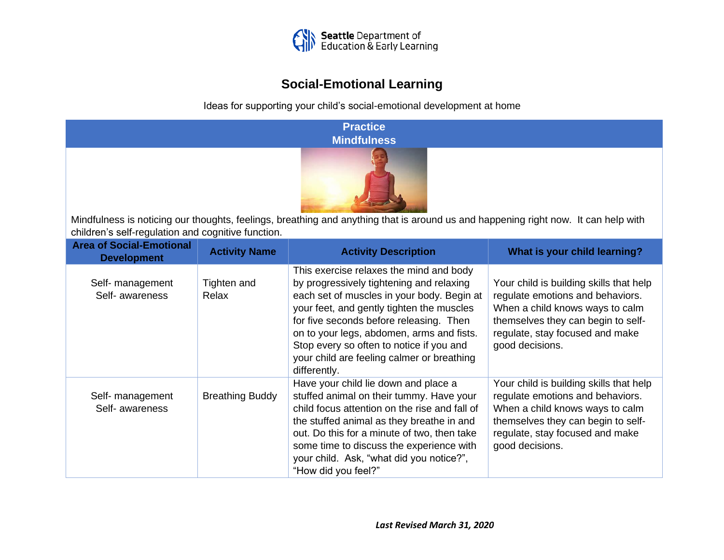

## **Social-Emotional Learning**

Ideas for supporting your child's social-emotional development at home



Mindfulness is noticing our thoughts, feelings, breathing and anything that is around us and happening right now. It can help with children's self-regulation and cognitive function.

| <b>Area of Social-Emotional</b><br><b>Development</b> | <b>Activity Name</b>   | <b>Activity Description</b>                                                                                                                                                                                                                                                                                                                                                      | What is your child learning?                                                                                                                                                                               |
|-------------------------------------------------------|------------------------|----------------------------------------------------------------------------------------------------------------------------------------------------------------------------------------------------------------------------------------------------------------------------------------------------------------------------------------------------------------------------------|------------------------------------------------------------------------------------------------------------------------------------------------------------------------------------------------------------|
| Self- management<br>Self- awareness                   | Tighten and<br>Relax   | This exercise relaxes the mind and body<br>by progressively tightening and relaxing<br>each set of muscles in your body. Begin at<br>your feet, and gently tighten the muscles<br>for five seconds before releasing. Then<br>on to your legs, abdomen, arms and fists.<br>Stop every so often to notice if you and<br>your child are feeling calmer or breathing<br>differently. | Your child is building skills that help<br>regulate emotions and behaviors.<br>When a child knows ways to calm<br>themselves they can begin to self-<br>regulate, stay focused and make<br>good decisions. |
| Self- management<br>Self- awareness                   | <b>Breathing Buddy</b> | Have your child lie down and place a<br>stuffed animal on their tummy. Have your<br>child focus attention on the rise and fall of<br>the stuffed animal as they breathe in and<br>out. Do this for a minute of two, then take<br>some time to discuss the experience with<br>your child. Ask, "what did you notice?",<br>"How did you feel?"                                     | Your child is building skills that help<br>regulate emotions and behaviors.<br>When a child knows ways to calm<br>themselves they can begin to self-<br>regulate, stay focused and make<br>good decisions. |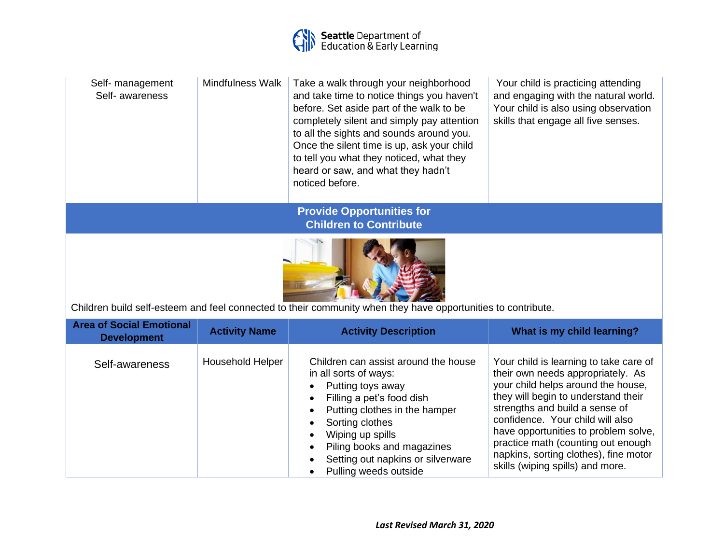

| Self- management<br>Self- awareness                                                                          | <b>Mindfulness Walk</b> | Take a walk through your neighborhood<br>and take time to notice things you haven't<br>before. Set aside part of the walk to be<br>completely silent and simply pay attention<br>to all the sights and sounds around you.<br>Once the silent time is up, ask your child<br>to tell you what they noticed, what they<br>heard or saw, and what they hadn't<br>noticed before. | Your child is practicing attending<br>and engaging with the natural world.<br>Your child is also using observation<br>skills that engage all five senses. |  |  |  |
|--------------------------------------------------------------------------------------------------------------|-------------------------|------------------------------------------------------------------------------------------------------------------------------------------------------------------------------------------------------------------------------------------------------------------------------------------------------------------------------------------------------------------------------|-----------------------------------------------------------------------------------------------------------------------------------------------------------|--|--|--|
| <b>Provide Opportunities for</b><br><b>Children to Contribute</b>                                            |                         |                                                                                                                                                                                                                                                                                                                                                                              |                                                                                                                                                           |  |  |  |
| Children build self-esteem and feel connected to their community when they have opportunities to contribute. |                         |                                                                                                                                                                                                                                                                                                                                                                              |                                                                                                                                                           |  |  |  |
| <b>Area of Social Emotional</b><br>Davata sa sa a sat                                                        | <b>Activity Name</b>    | <b>Activity Description</b>                                                                                                                                                                                                                                                                                                                                                  | What is my child learning?                                                                                                                                |  |  |  |

| Area of Social Emotional<br><b>Development</b> | <b>Activity Name</b>    | <b>Activity Description</b>                                                                                                                                                                                                                                                                      | What is my child learning?                                                                                                                                                                                                                                                                                                                                                                |
|------------------------------------------------|-------------------------|--------------------------------------------------------------------------------------------------------------------------------------------------------------------------------------------------------------------------------------------------------------------------------------------------|-------------------------------------------------------------------------------------------------------------------------------------------------------------------------------------------------------------------------------------------------------------------------------------------------------------------------------------------------------------------------------------------|
| Self-awareness                                 | <b>Household Helper</b> | Children can assist around the house<br>in all sorts of ways:<br>Putting toys away<br>Filling a pet's food dish<br>$\bullet$<br>Putting clothes in the hamper<br>Sorting clothes<br>Wiping up spills<br>Piling books and magazines<br>Setting out napkins or silverware<br>Pulling weeds outside | Your child is learning to take care of<br>their own needs appropriately. As<br>your child helps around the house,<br>they will begin to understand their<br>strengths and build a sense of<br>confidence. Your child will also<br>have opportunities to problem solve,<br>practice math (counting out enough<br>napkins, sorting clothes), fine motor<br>skills (wiping spills) and more. |